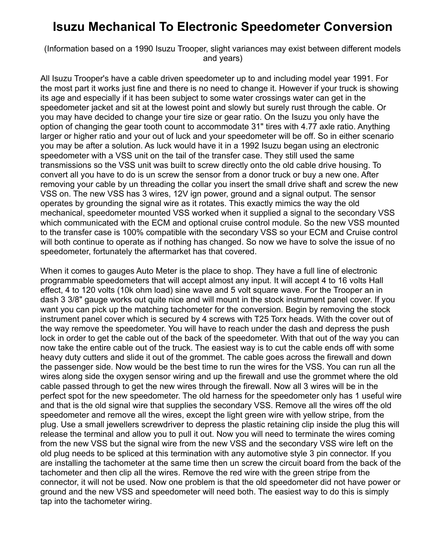## **Isuzu Mechanical To Electronic Speedometer Conversion**

(Information based on a 1990 Isuzu Trooper, slight variances may exist between different models and years)

All Isuzu Trooper's have a cable driven speedometer up to and including model year 1991. For the most part it works just fine and there is no need to change it. However if your truck is showing its age and especially if it has been subject to some water crossings water can get in the speedometer jacket and sit at the lowest point and slowly but surely rust through the cable. Or you may have decided to change your tire size or gear ratio. On the Isuzu you only have the option of changing the gear tooth count to accommodate 31" tires with 4.77 axle ratio. Anything larger or higher ratio and your out of luck and your speedometer will be off. So in either scenario you may be after a solution. As luck would have it in a 1992 Isuzu began using an electronic speedometer with a VSS unit on the tail of the transfer case. They still used the same transmissions so the VSS unit was built to screw directly onto the old cable drive housing. To convert all you have to do is un screw the sensor from a donor truck or buy a new one. After removing your cable by un threading the collar you insert the small drive shaft and screw the new VSS on. The new VSS has 3 wires, 12V ign power, ground and a signal output. The sensor operates by grounding the signal wire as it rotates. This exactly mimics the way the old mechanical, speedometer mounted VSS worked when it supplied a signal to the secondary VSS which communicated with the ECM and optional cruise control module. So the new VSS mounted to the transfer case is 100% compatible with the secondary VSS so your ECM and Cruise control will both continue to operate as if nothing has changed. So now we have to solve the issue of no speedometer, fortunately the aftermarket has that covered.

When it comes to gauges Auto Meter is the place to shop. They have a full line of electronic programmable speedometers that will accept almost any input. It will accept 4 to 16 volts Hall effect, 4 to 120 volts (10k ohm load) sine wave and 5 volt square wave. For the Trooper an in dash 3 3/8" gauge works out quite nice and will mount in the stock instrument panel cover. If you want you can pick up the matching tachometer for the conversion. Begin by removing the stock instrument panel cover which is secured by 4 screws with T25 Torx heads. With the cover out of the way remove the speedometer. You will have to reach under the dash and depress the push lock in order to get the cable out of the back of the speedometer. With that out of the way you can now take the entire cable out of the truck. The easiest way is to cut the cable ends off with some heavy duty cutters and slide it out of the grommet. The cable goes across the firewall and down the passenger side. Now would be the best time to run the wires for the VSS. You can run all the wires along side the oxygen sensor wiring and up the firewall and use the grommet where the old cable passed through to get the new wires through the firewall. Now all 3 wires will be in the perfect spot for the new speedometer. The old harness for the speedometer only has 1 useful wire and that is the old signal wire that supplies the secondary VSS. Remove all the wires off the old speedometer and remove all the wires, except the light green wire with yellow stripe, from the plug. Use a small jewellers screwdriver to depress the plastic retaining clip inside the plug this will release the terminal and allow you to pull it out. Now you will need to terminate the wires coming from the new VSS but the signal wire from the new VSS and the secondary VSS wire left on the old plug needs to be spliced at this termination with any automotive style 3 pin connector. If you are installing the tachometer at the same time then un screw the circuit board from the back of the tachometer and then clip all the wires. Remove the red wire with the green stripe from the connector, it will not be used. Now one problem is that the old speedometer did not have power or ground and the new VSS and speedometer will need both. The easiest way to do this is simply tap into the tachometer wiring.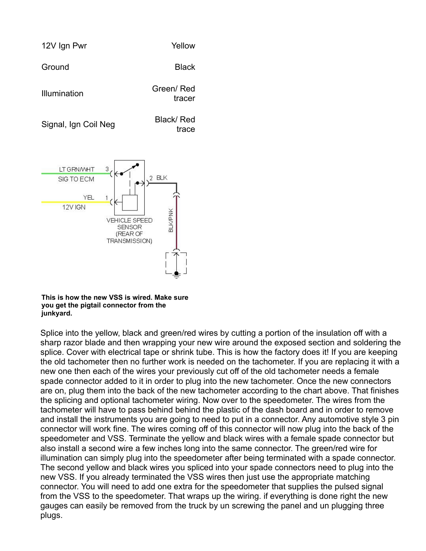

**This is how the new VSS is wired. Make sure you get the pigtail connector from the junkyard.**

Splice into the yellow, black and green/red wires by cutting a portion of the insulation off with a sharp razor blade and then wrapping your new wire around the exposed section and soldering the splice. Cover with electrical tape or shrink tube. This is how the factory does it! If you are keeping the old tachometer then no further work is needed on the tachometer. If you are replacing it with a new one then each of the wires your previously cut off of the old tachometer needs a female spade connector added to it in order to plug into the new tachometer. Once the new connectors are on, plug them into the back of the new tachometer according to the chart above. That finishes the splicing and optional tachometer wiring. Now over to the speedometer. The wires from the tachometer will have to pass behind behind the plastic of the dash board and in order to remove and install the instruments you are going to need to put in a connector. Any automotive style 3 pin connector will work fine. The wires coming off of this connector will now plug into the back of the speedometer and VSS. Terminate the yellow and black wires with a female spade connector but also install a second wire a few inches long into the same connector. The green/red wire for illumination can simply plug into the speedometer after being terminated with a spade connector. The second yellow and black wires you spliced into your spade connectors need to plug into the new VSS. If you already terminated the VSS wires then just use the appropriate matching connector. You will need to add one extra for the speedometer that supplies the pulsed signal from the VSS to the speedometer. That wraps up the wiring. if everything is done right the new gauges can easily be removed from the truck by un screwing the panel and un plugging three plugs.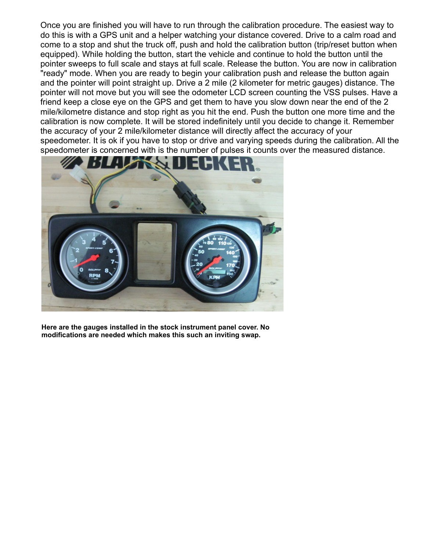Once you are finished you will have to run through the calibration procedure. The easiest way to do this is with a GPS unit and a helper watching your distance covered. Drive to a calm road and come to a stop and shut the truck off, push and hold the calibration button (trip/reset button when equipped). While holding the button, start the vehicle and continue to hold the button until the pointer sweeps to full scale and stays at full scale. Release the button. You are now in calibration "ready" mode. When you are ready to begin your calibration push and release the button again and the pointer will point straight up. Drive a 2 mile (2 kilometer for metric gauges) distance. The pointer will not move but you will see the odometer LCD screen counting the VSS pulses. Have a friend keep a close eye on the GPS and get them to have you slow down near the end of the 2 mile/kilometre distance and stop right as you hit the end. Push the button one more time and the calibration is now complete. It will be stored indefinitely until you decide to change it. Remember the accuracy of your 2 mile/kilometer distance will directly affect the accuracy of your speedometer. It is ok if you have to stop or drive and varying speeds during the calibration. All the speedometer is concerned with is the number of pulses it counts over the measured distance.



**Here are the gauges installed in the stock instrument panel cover. No modifications are needed which makes this such an inviting swap.**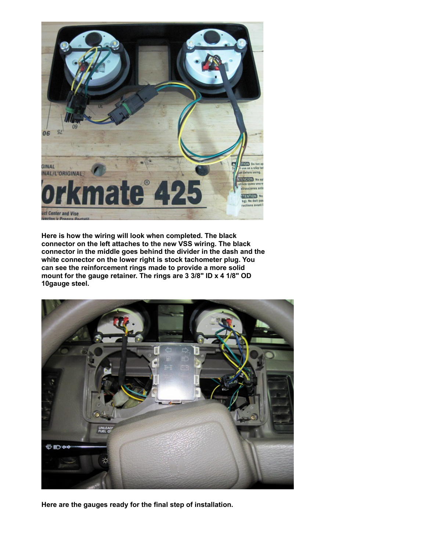

**Here is how the wiring will look when completed. The black connector on the left attaches to the new VSS wiring. The black connector in the middle goes behind the divider in the dash and the white connector on the lower right is stock tachometer plug. You can see the reinforcement rings made to provide a more solid mount for the gauge retainer. The rings are 3 3/8" ID x 4 1/8" OD 10gauge steel.**



**Here are the gauges ready for the final step of installation.**